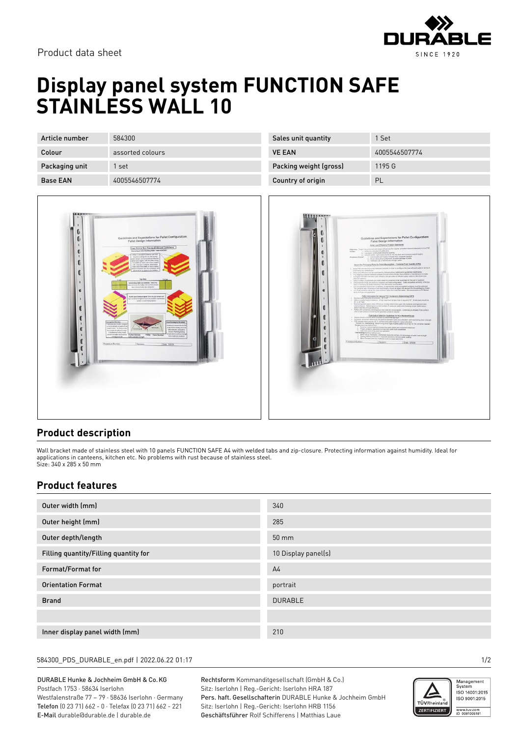

# **Display panel system FUNCTION SAFE STAINLESS WALL 10**

| Article number  | 584300           |
|-----------------|------------------|
| Colour          | assorted colours |
| Packaging unit  | 1 set            |
| <b>Base EAN</b> | 4005546507774    |

| Choosing as interlocking style case crection<br>С<br>When a standard container size strit<br>$\mathbf{I}$<br>required, looking into an interlocking<br>salet design can be beneficial if the box<br>description agree with the palet sizery.<br>U<br>The paints on each side were created<br>with case-pick container dimensions<br>tickee at of the patet surface is being<br>usine efficiently and the containent are<br>sisced fush up against one another.<br>G<br><b>Top View</b><br><b>DOLH</b><br><b>Tot Light</b><br>٠<br>Interlocking style case enrotion: Intelocking<br>ous sur increase the mability of the load if the complete<br>signs in the insurfolding style configuration.<br>e<br>Ausid space between layers: first the part between each<br>п<br>ayer, com all load strength decreases and containers could benone<br>uoutino outet tangitates:<br>Comparies Direction<br>Case Erecting for Structure:<br>Paletanion sign should be contigued<br>The information provides the FCC<br>sume bocadereds on pandel with the<br>avglaced over holding cackgravite<br>Medium<br>meters or field. The futing process<br>Linesboard<br>Eather collection on the palacke<br>testikale ethiqdiy editiegh<br>recent Maining racing<br>To hambe to suckey merge.<br>tengh reduces wanhouse datap<br>couple the methos districts before Machine Direction<br>Thring Cross Direction<br>١<br><b>Fort alsal myst stangeint</b><br>coloring a load trips<br>holds container strength<br>Procedure Number<br>Revision<br>Date: 5/5/08 | U<br>E)<br>x | Guidelines and Expectations for Pallet Configuration:<br><b>Pallet Design Information</b><br>196<br>Case Pick or Non-Standard Inboard Containers |
|--------------------------------------------------------------------------------------------------------------------------------------------------------------------------------------------------------------------------------------------------------------------------------------------------------------------------------------------------------------------------------------------------------------------------------------------------------------------------------------------------------------------------------------------------------------------------------------------------------------------------------------------------------------------------------------------------------------------------------------------------------------------------------------------------------------------------------------------------------------------------------------------------------------------------------------------------------------------------------------------------------------------------------------------------------------------------------------------------------------------------------------------------------------------------------------------------------------------------------------------------------------------------------------------------------------------------------------------------------------------------------------------------------------------------------------------------------------------------------------------------------------------------------------------|--------------|--------------------------------------------------------------------------------------------------------------------------------------------------|
|                                                                                                                                                                                                                                                                                                                                                                                                                                                                                                                                                                                                                                                                                                                                                                                                                                                                                                                                                                                                                                                                                                                                                                                                                                                                                                                                                                                                                                                                                                                                            |              |                                                                                                                                                  |
|                                                                                                                                                                                                                                                                                                                                                                                                                                                                                                                                                                                                                                                                                                                                                                                                                                                                                                                                                                                                                                                                                                                                                                                                                                                                                                                                                                                                                                                                                                                                            |              |                                                                                                                                                  |
|                                                                                                                                                                                                                                                                                                                                                                                                                                                                                                                                                                                                                                                                                                                                                                                                                                                                                                                                                                                                                                                                                                                                                                                                                                                                                                                                                                                                                                                                                                                                            |              |                                                                                                                                                  |
|                                                                                                                                                                                                                                                                                                                                                                                                                                                                                                                                                                                                                                                                                                                                                                                                                                                                                                                                                                                                                                                                                                                                                                                                                                                                                                                                                                                                                                                                                                                                            |              |                                                                                                                                                  |
|                                                                                                                                                                                                                                                                                                                                                                                                                                                                                                                                                                                                                                                                                                                                                                                                                                                                                                                                                                                                                                                                                                                                                                                                                                                                                                                                                                                                                                                                                                                                            |              |                                                                                                                                                  |
|                                                                                                                                                                                                                                                                                                                                                                                                                                                                                                                                                                                                                                                                                                                                                                                                                                                                                                                                                                                                                                                                                                                                                                                                                                                                                                                                                                                                                                                                                                                                            |              |                                                                                                                                                  |

| Sales unit quantity    | 1 Set         |
|------------------------|---------------|
| <b>VE EAN</b>          | 4005546507774 |
| Packing weight (gross) | 1195 G        |
| Country of origin      | PL            |



### **Product description**

Wall bracket made of stainless steel with 10 panels FUNCTION SAFE A4 with welded tabs and zip-closure. Protecting information against humidity. Ideal for applications in canteens, kitchen etc. No problems with rust because of stainless steel. Size: 340 x 285 x 50 mm

### **Product features**

| Outer width (mm)                      | 340                 |
|---------------------------------------|---------------------|
| Outer height (mm)                     | 285                 |
| Outer depth/length                    | 50 mm               |
| Filling quantity/Filling quantity for | 10 Display panel(s) |
| Format/Format for                     | A <sup>4</sup>      |
| <b>Orientation Format</b>             | portrait            |
| <b>Brand</b>                          | <b>DURABLE</b>      |
|                                       |                     |
| Inner display panel width (mm)        | 210                 |

#### 584300\_PDS\_DURABLE\_en.pdf | 2022.06.22 01:17 1/2

DURABLE Hunke & Jochheim GmbH & Co.KG Postfach 1753 · 58634 Iserlohn Westfalenstraße 77 – 79 · 58636 Iserlohn · Germany Telefon (0 23 71) 662 - 0 · Telefax (0 23 71) 662 - 221 E-Mail durable@durable.de | durable.de

Rechtsform Kommanditgesellschaft (GmbH & Co.) Sitz: Iserlohn | Reg.-Gericht: Iserlohn HRA 187 Pers. haft. Gesellschafterin DURABLE Hunke & Jochheim GmbH Sitz: Iserlohn | Reg.-Gericht: Iserlohn HRB 1156 Geschäftsführer Rolf Schifferens | Matthias Laue